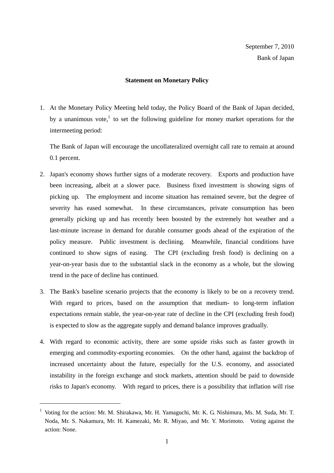## **Statement on Monetary Policy**

1. At the Monetary Policy Meeting held today, the Policy Board of the Bank of Japan decided, by a unanimous vote, $<sup>1</sup>$  to set the following guideline for money market operations for the</sup> intermeeting period:

The Bank of Japan will encourage the uncollateralized overnight call rate to remain at around 0.1 percent.

- 2. Japan's economy shows further signs of a moderate recovery. Exports and production have been increasing, albeit at a slower pace. Business fixed investment is showing signs of picking up. The employment and income situation has remained severe, but the degree of severity has eased somewhat. In these circumstances, private consumption has been generally picking up and has recently been boosted by the extremely hot weather and a last-minute increase in demand for durable consumer goods ahead of the expiration of the policy measure. Public investment is declining. Meanwhile, financial conditions have continued to show signs of easing. The CPI (excluding fresh food) is declining on a year-on-year basis due to the substantial slack in the economy as a whole, but the slowing trend in the pace of decline has continued.
- 3. The Bank's baseline scenario projects that the economy is likely to be on a recovery trend. With regard to prices, based on the assumption that medium- to long-term inflation expectations remain stable, the year-on-year rate of decline in the CPI (excluding fresh food) is expected to slow as the aggregate supply and demand balance improves gradually.
- 4. With regard to economic activity, there are some upside risks such as faster growth in emerging and commodity-exporting economies. On the other hand, against the backdrop of increased uncertainty about the future, especially for the U.S. economy, and associated instability in the foreign exchange and stock markets, attention should be paid to downside risks to Japan's economy. With regard to prices, there is a possibility that inflation will rise

-

<sup>&</sup>lt;sup>1</sup> Voting for the action: Mr. M. Shirakawa, Mr. H. Yamaguchi, Mr. K. G. Nishimura, Ms. M. Suda, Mr. T. Noda, Mr. S. Nakamura, Mr. H. Kamezaki, Mr. R. Miyao, and Mr. Y. Morimoto. Voting against the action: None.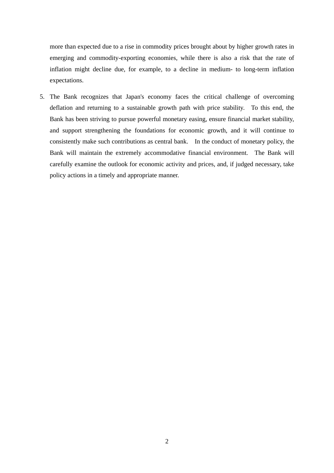more than expected due to a rise in commodity prices brought about by higher growth rates in emerging and commodity-exporting economies, while there is also a risk that the rate of inflation might decline due, for example, to a decline in medium- to long-term inflation expectations.

5. The Bank recognizes that Japan's economy faces the critical challenge of overcoming deflation and returning to a sustainable growth path with price stability. To this end, the Bank has been striving to pursue powerful monetary easing, ensure financial market stability, and support strengthening the foundations for economic growth, and it will continue to consistently make such contributions as central bank. In the conduct of monetary policy, the Bank will maintain the extremely accommodative financial environment. The Bank will carefully examine the outlook for economic activity and prices, and, if judged necessary, take policy actions in a timely and appropriate manner.